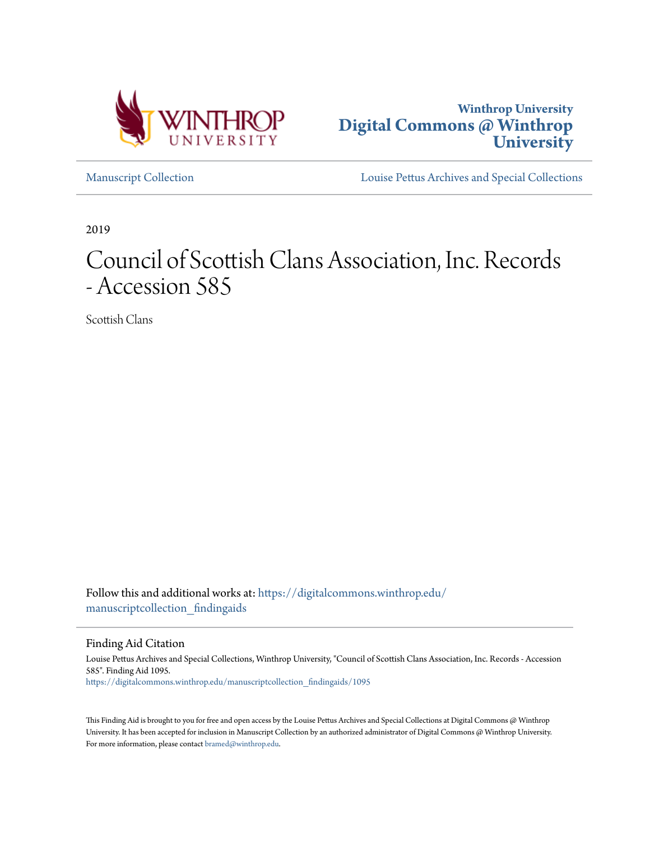



[Manuscript Collection](https://digitalcommons.winthrop.edu/manuscriptcollection_findingaids?utm_source=digitalcommons.winthrop.edu%2Fmanuscriptcollection_findingaids%2F1095&utm_medium=PDF&utm_campaign=PDFCoverPages) [Louise Pettus Archives and Special Collections](https://digitalcommons.winthrop.edu/pettus_archives?utm_source=digitalcommons.winthrop.edu%2Fmanuscriptcollection_findingaids%2F1095&utm_medium=PDF&utm_campaign=PDFCoverPages)

2019

# Council of Scottish Clans Association, Inc. Records - Accession 585

Scottish Clans

Follow this and additional works at: [https://digitalcommons.winthrop.edu/](https://digitalcommons.winthrop.edu/manuscriptcollection_findingaids?utm_source=digitalcommons.winthrop.edu%2Fmanuscriptcollection_findingaids%2F1095&utm_medium=PDF&utm_campaign=PDFCoverPages) manuscriptcollection findingaids

Finding Aid Citation

Louise Pettus Archives and Special Collections, Winthrop University, "Council of Scottish Clans Association, Inc. Records - Accession 585". Finding Aid 1095. [https://digitalcommons.winthrop.edu/manuscriptcollection\\_findingaids/1095](https://digitalcommons.winthrop.edu/manuscriptcollection_findingaids/1095?utm_source=digitalcommons.winthrop.edu%2Fmanuscriptcollection_findingaids%2F1095&utm_medium=PDF&utm_campaign=PDFCoverPages)

This Finding Aid is brought to you for free and open access by the Louise Pettus Archives and Special Collections at Digital Commons @ Winthrop University. It has been accepted for inclusion in Manuscript Collection by an authorized administrator of Digital Commons @ Winthrop University. For more information, please contact [bramed@winthrop.edu.](mailto:bramed@winthrop.edu)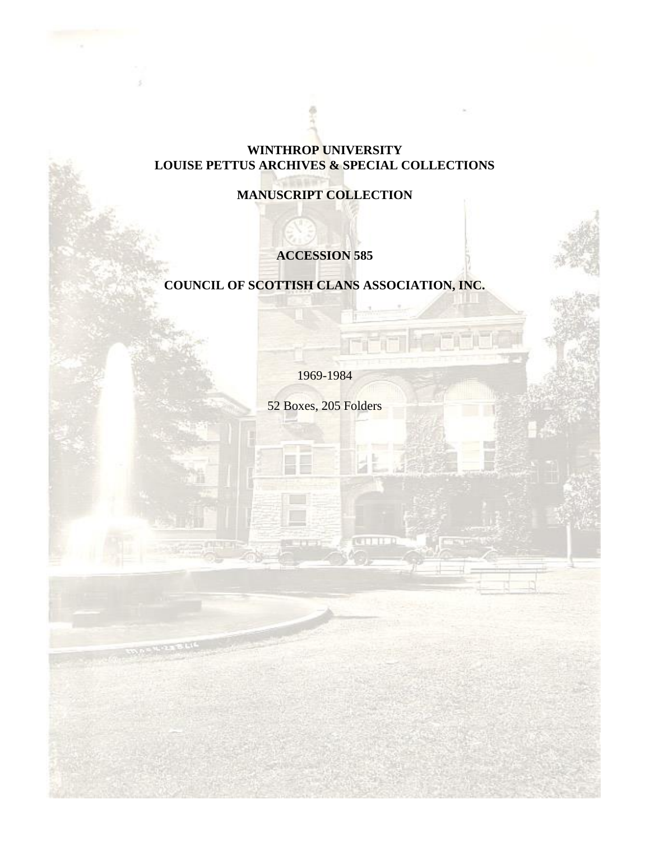## **WINTHROP UNIVERSITY LOUISE PETTUS ARCHIVES & SPECIAL COLLECTIONS**

# **MANUSCRIPT COLLECTION**

# **ACCESSION 585**

# **COUNCIL OF SCOTTISH CLANS ASSOCIATION, INC.**

1969-1984

52 Boxes, 205 Folders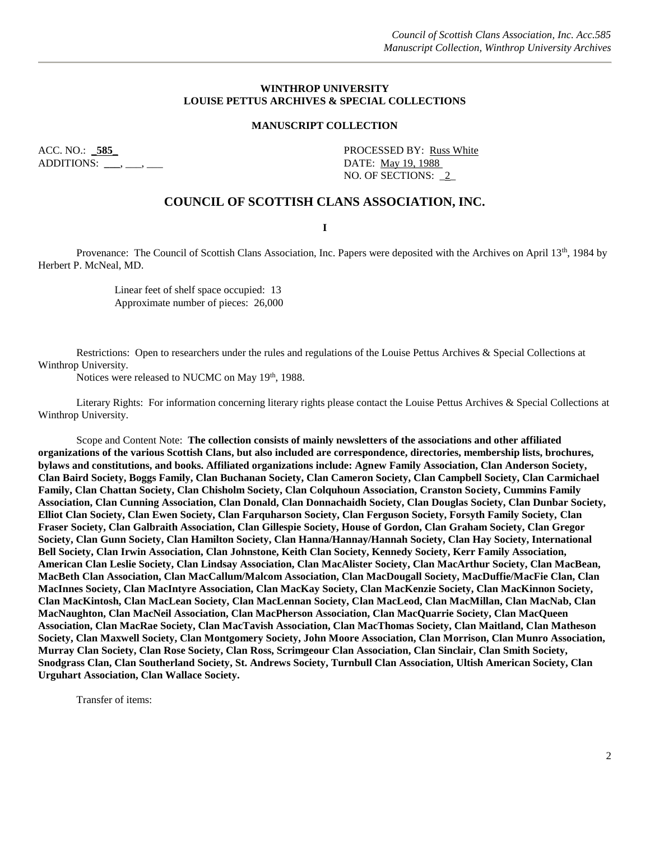#### **WINTHROP UNIVERSITY LOUISE PETTUS ARCHIVES & SPECIAL COLLECTIONS**

#### **MANUSCRIPT COLLECTION**

ADDITIONS: **\_\_\_**, \_\_\_, \_\_\_ DATE: May 19, 1988

ACC. NO.: 585\_ **PROCESSED BY:** Russ White NO. OF SECTIONS: \_2\_

#### **COUNCIL OF SCOTTISH CLANS ASSOCIATION, INC.**

**I**

Provenance: The Council of Scottish Clans Association, Inc. Papers were deposited with the Archives on April 13<sup>th</sup>, 1984 by Herbert P. McNeal, MD.

> Linear feet of shelf space occupied: 13 Approximate number of pieces: 26,000

Restrictions: Open to researchers under the rules and regulations of the Louise Pettus Archives & Special Collections at Winthrop University.

Notices were released to NUCMC on May 19<sup>th</sup>, 1988.

Literary Rights: For information concerning literary rights please contact the Louise Pettus Archives & Special Collections at Winthrop University.

Scope and Content Note: **The collection consists of mainly newsletters of the associations and other affiliated organizations of the various Scottish Clans, but also included are correspondence, directories, membership lists, brochures, bylaws and constitutions, and books. Affiliated organizations include: Agnew Family Association, Clan Anderson Society, Clan Baird Society, Boggs Family, Clan Buchanan Society, Clan Cameron Society, Clan Campbell Society, Clan Carmichael Family, Clan Chattan Society, Clan Chisholm Society, Clan Colquhoun Association, Cranston Society, Cummins Family Association, Clan Cunning Association, Clan Donald, Clan Donnachaidh Society, Clan Douglas Society, Clan Dunbar Society, Elliot Clan Society, Clan Ewen Society, Clan Farquharson Society, Clan Ferguson Society, Forsyth Family Society, Clan Fraser Society, Clan Galbraith Association, Clan Gillespie Society, House of Gordon, Clan Graham Society, Clan Gregor Society, Clan Gunn Society, Clan Hamilton Society, Clan Hanna/Hannay/Hannah Society, Clan Hay Society, International Bell Society, Clan Irwin Association, Clan Johnstone, Keith Clan Society, Kennedy Society, Kerr Family Association, American Clan Leslie Society, Clan Lindsay Association, Clan MacAlister Society, Clan MacArthur Society, Clan MacBean, MacBeth Clan Association, Clan MacCallum/Malcom Association, Clan MacDougall Society, MacDuffie/MacFie Clan, Clan MacInnes Society, Clan MacIntyre Association, Clan MacKay Society, Clan MacKenzie Society, Clan MacKinnon Society, Clan MacKintosh, Clan MacLean Society, Clan MacLennan Society, Clan MacLeod, Clan MacMillan, Clan MacNab, Clan MacNaughton, Clan MacNeil Association, Clan MacPherson Association, Clan MacQuarrie Society, Clan MacQueen Association, Clan MacRae Society, Clan MacTavish Association, Clan MacThomas Society, Clan Maitland, Clan Matheson Society, Clan Maxwell Society, Clan Montgomery Society, John Moore Association, Clan Morrison, Clan Munro Association, Murray Clan Society, Clan Rose Society, Clan Ross, Scrimgeour Clan Association, Clan Sinclair, Clan Smith Society, Snodgrass Clan, Clan Southerland Society, St. Andrews Society, Turnbull Clan Association, Ultish American Society, Clan Urguhart Association, Clan Wallace Society.**

Transfer of items: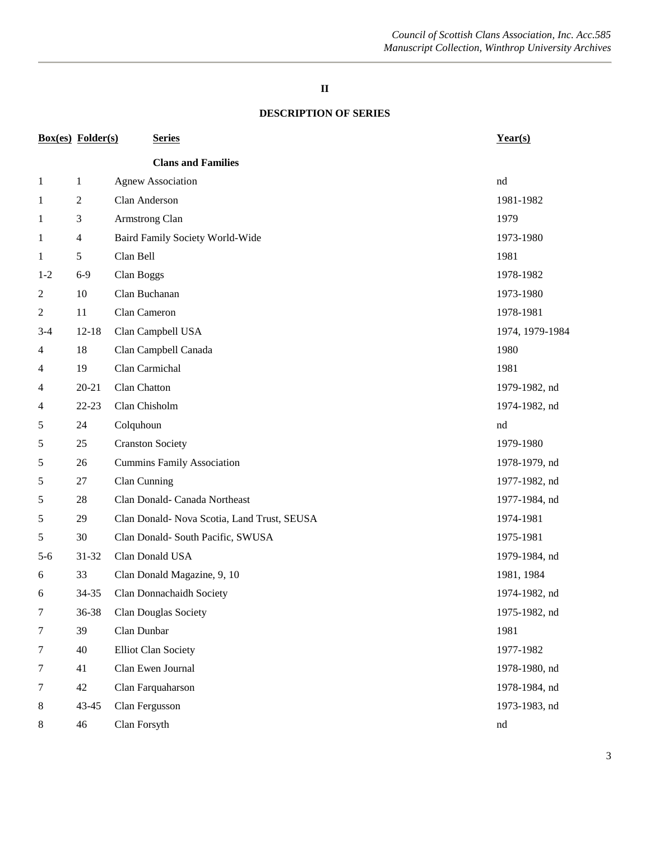#### **DESCRIPTION OF SERIES**

| <b>Box(es)</b> Folder(s)<br><b>Series</b> |           |                                             | Year(s)         |  |
|-------------------------------------------|-----------|---------------------------------------------|-----------------|--|
|                                           |           | <b>Clans and Families</b>                   |                 |  |
| $\mathbf{1}$                              | 1         | <b>Agnew Association</b>                    | nd              |  |
| 1                                         | 2         | Clan Anderson                               | 1981-1982       |  |
| 1                                         | 3         | Armstrong Clan                              | 1979            |  |
| $\mathbf{1}$                              | 4         | Baird Family Society World-Wide             | 1973-1980       |  |
| 1                                         | 5         | Clan Bell                                   | 1981            |  |
| $1 - 2$                                   | $6-9$     | Clan Boggs                                  | 1978-1982       |  |
| $\overline{2}$                            | 10        | Clan Buchanan                               | 1973-1980       |  |
| $\overline{2}$                            | 11        | Clan Cameron                                | 1978-1981       |  |
| $3-4$                                     | $12 - 18$ | Clan Campbell USA                           | 1974, 1979-1984 |  |
| 4                                         | 18        | Clan Campbell Canada                        | 1980            |  |
| 4                                         | 19        | Clan Carmichal                              | 1981            |  |
| 4                                         | $20 - 21$ | Clan Chatton                                | 1979-1982, nd   |  |
| 4                                         | $22 - 23$ | Clan Chisholm                               | 1974-1982, nd   |  |
| 5                                         | 24        | Colquhoun                                   | nd              |  |
| 5                                         | 25        | <b>Cranston Society</b>                     | 1979-1980       |  |
| 5                                         | 26        | <b>Cummins Family Association</b>           | 1978-1979, nd   |  |
| 5                                         | 27        | Clan Cunning                                | 1977-1982, nd   |  |
| 5                                         | 28        | Clan Donald- Canada Northeast               | 1977-1984, nd   |  |
| 5                                         | 29        | Clan Donald- Nova Scotia, Land Trust, SEUSA | 1974-1981       |  |
| 5                                         | 30        | Clan Donald- South Pacific, SWUSA           | 1975-1981       |  |
| $5 - 6$                                   | 31-32     | Clan Donald USA                             | 1979-1984, nd   |  |
| 6                                         | 33        | Clan Donald Magazine, 9, 10                 | 1981, 1984      |  |
| 6                                         | 34-35     | Clan Donnachaidh Society                    | 1974-1982, nd   |  |
| 7                                         | 36-38     | Clan Douglas Society                        | 1975-1982, nd   |  |
| $\tau$                                    | 39        | Clan Dunbar                                 | 1981            |  |
| $\overline{7}$                            | 40        | <b>Elliot Clan Society</b>                  | 1977-1982       |  |
| $\overline{7}$                            | 41        | Clan Ewen Journal                           | 1978-1980, nd   |  |
| $\tau$                                    | 42        | Clan Farquaharson                           | 1978-1984, nd   |  |
| $\,8\,$                                   | $43 - 45$ | Clan Fergusson                              | 1973-1983, nd   |  |
| $\,8\,$                                   | 46        | Clan Forsyth                                | nd              |  |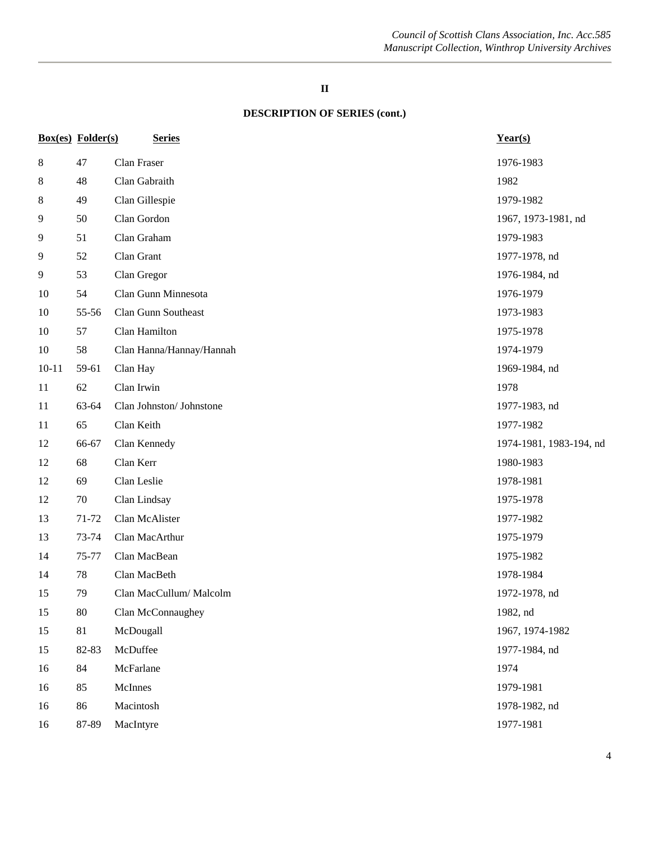|           | <b>Box(es)</b> Folder(s) | <b>Series</b>            | Year(s)                 |
|-----------|--------------------------|--------------------------|-------------------------|
| $\,8\,$   | 47                       | Clan Fraser              | 1976-1983               |
| 8         | 48                       | Clan Gabraith            | 1982                    |
| 8         | 49                       | Clan Gillespie           | 1979-1982               |
| 9         | 50                       | Clan Gordon              | 1967, 1973-1981, nd     |
| 9         | 51                       | Clan Graham              | 1979-1983               |
| 9         | 52                       | Clan Grant               | 1977-1978, nd           |
| 9         | 53                       | Clan Gregor              | 1976-1984, nd           |
| 10        | 54                       | Clan Gunn Minnesota      | 1976-1979               |
| 10        | 55-56                    | Clan Gunn Southeast      | 1973-1983               |
| 10        | 57                       | Clan Hamilton            | 1975-1978               |
| 10        | 58                       | Clan Hanna/Hannay/Hannah | 1974-1979               |
| $10 - 11$ | 59-61                    | Clan Hay                 | 1969-1984, nd           |
| 11        | 62                       | Clan Irwin               | 1978                    |
| 11        | 63-64                    | Clan Johnston/ Johnstone | 1977-1983, nd           |
| 11        | 65                       | Clan Keith               | 1977-1982               |
| 12        | 66-67                    | Clan Kennedy             | 1974-1981, 1983-194, nd |
| 12        | 68                       | Clan Kerr                | 1980-1983               |
| 12        | 69                       | Clan Leslie              | 1978-1981               |
| 12        | 70                       | Clan Lindsay             | 1975-1978               |
| 13        | 71-72                    | Clan McAlister           | 1977-1982               |
| 13        | 73-74                    | Clan MacArthur           | 1975-1979               |
| 14        | 75-77                    | Clan MacBean             | 1975-1982               |
| 14        | 78                       | Clan MacBeth             | 1978-1984               |
| 15        | 79                       | Clan MacCullum/ Malcolm  | 1972-1978, nd           |
| 15        | 80                       | Clan McConnaughey        | 1982, nd                |
| 15        | 81                       | McDougall                | 1967, 1974-1982         |
| 15        | 82-83                    | McDuffee                 | 1977-1984, nd           |
| 16        | 84                       | McFarlane                | 1974                    |
| 16        | 85                       | McInnes                  | 1979-1981               |
| 16        | 86                       | Macintosh                | 1978-1982, nd           |
| 16        | 87-89                    | MacIntyre                | 1977-1981               |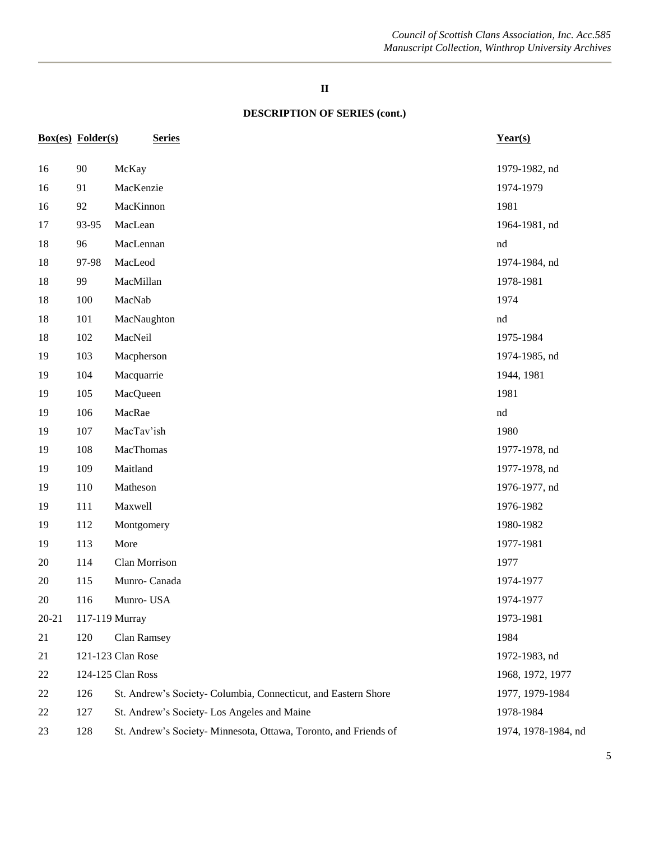|           | <b>Box(es)</b> Folder(s) | <b>Series</b>                                                    | Year(s)             |
|-----------|--------------------------|------------------------------------------------------------------|---------------------|
| 16        | 90                       | McKay                                                            | 1979-1982, nd       |
| 16        | 91                       | MacKenzie                                                        | 1974-1979           |
| 16        | 92                       | MacKinnon                                                        | 1981                |
| 17        | 93-95                    | MacLean                                                          | 1964-1981, nd       |
| 18        | 96                       | MacLennan                                                        | nd                  |
| 18        | 97-98                    | MacLeod                                                          | 1974-1984, nd       |
| 18        | 99                       | MacMillan                                                        | 1978-1981           |
| 18        | 100                      | MacNab                                                           | 1974                |
| 18        | 101                      | MacNaughton                                                      | nd                  |
| 18        | 102                      | MacNeil                                                          | 1975-1984           |
| 19        | 103                      | Macpherson                                                       | 1974-1985, nd       |
| 19        | 104                      | Macquarrie                                                       | 1944, 1981          |
| 19        | 105                      | MacQueen                                                         | 1981                |
| 19        | 106                      | MacRae                                                           | $^{\rm nd}$         |
| 19        | 107                      | MacTav'ish                                                       | 1980                |
| 19        | 108                      | MacThomas                                                        | 1977-1978, nd       |
| 19        | 109                      | Maitland                                                         | 1977-1978, nd       |
| 19        | 110                      | Matheson                                                         | 1976-1977, nd       |
| 19        | 111                      | Maxwell                                                          | 1976-1982           |
| 19        | 112                      | Montgomery                                                       | 1980-1982           |
| 19        | 113                      | More                                                             | 1977-1981           |
| 20        | 114                      | Clan Morrison                                                    | 1977                |
| 20        | 115                      | Munro-Canada                                                     | 1974-1977           |
| 20        | 116                      | Munro-USA                                                        | 1974-1977           |
| $20 - 21$ |                          | 117-119 Murray                                                   | 1973-1981           |
| 21        | 120                      | Clan Ramsey                                                      | 1984                |
| 21        |                          | 121-123 Clan Rose                                                | 1972-1983, nd       |
| 22        |                          | 124-125 Clan Ross                                                | 1968, 1972, 1977    |
| 22        | 126                      | St. Andrew's Society- Columbia, Connecticut, and Eastern Shore   | 1977, 1979-1984     |
| 22        | 127                      | St. Andrew's Society- Los Angeles and Maine                      | 1978-1984           |
| 23        | 128                      | St. Andrew's Society- Minnesota, Ottawa, Toronto, and Friends of | 1974, 1978-1984, nd |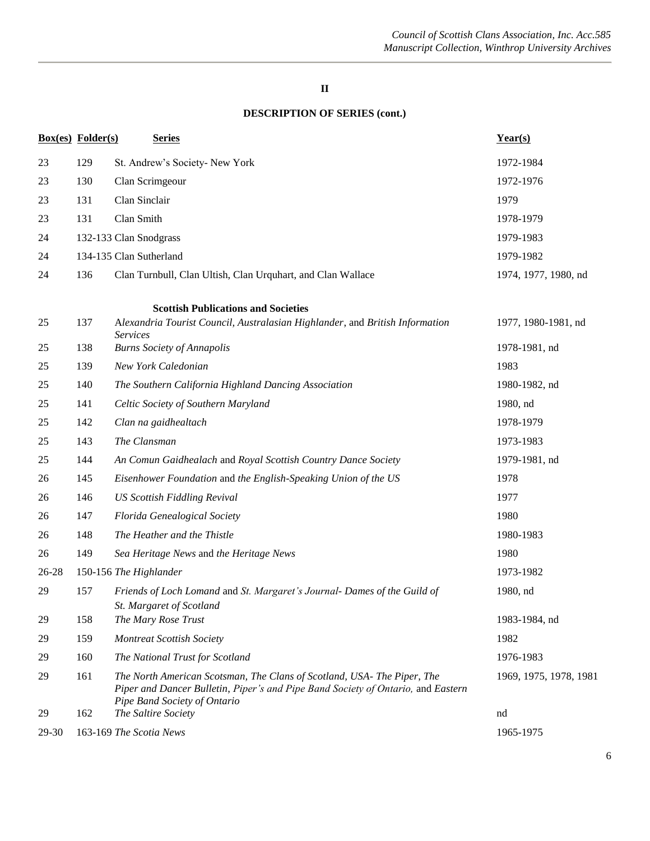|       | <b>Box(es)</b> Folder(s) | <b>Series</b>                                                                                                                                                                               | Year(s)                |
|-------|--------------------------|---------------------------------------------------------------------------------------------------------------------------------------------------------------------------------------------|------------------------|
| 23    | 129                      | St. Andrew's Society- New York                                                                                                                                                              | 1972-1984              |
| 23    | 130                      | Clan Scrimgeour                                                                                                                                                                             | 1972-1976              |
| 23    | 131                      | Clan Sinclair                                                                                                                                                                               | 1979                   |
| 23    | 131                      | Clan Smith                                                                                                                                                                                  | 1978-1979              |
| 24    |                          | 132-133 Clan Snodgrass                                                                                                                                                                      | 1979-1983              |
| 24    |                          | 134-135 Clan Sutherland                                                                                                                                                                     | 1979-1982              |
| 24    | 136                      | Clan Turnbull, Clan Ultish, Clan Urquhart, and Clan Wallace                                                                                                                                 | 1974, 1977, 1980, nd   |
|       |                          | <b>Scottish Publications and Societies</b>                                                                                                                                                  |                        |
| 25    | 137                      | Alexandria Tourist Council, Australasian Highlander, and British Information<br><b>Services</b>                                                                                             | 1977, 1980-1981, nd    |
| 25    | 138                      | <b>Burns Society of Annapolis</b>                                                                                                                                                           | 1978-1981, nd          |
| 25    | 139                      | New York Caledonian                                                                                                                                                                         | 1983                   |
| 25    | 140                      | The Southern California Highland Dancing Association                                                                                                                                        | 1980-1982, nd          |
| 25    | 141                      | Celtic Society of Southern Maryland                                                                                                                                                         | 1980, nd               |
| 25    | 142                      | Clan na gaidhealtach                                                                                                                                                                        | 1978-1979              |
| 25    | 143                      | The Clansman                                                                                                                                                                                | 1973-1983              |
| 25    | 144                      | An Comun Gaidhealach and Royal Scottish Country Dance Society                                                                                                                               | 1979-1981, nd          |
| 26    | 145                      | Eisenhower Foundation and the English-Speaking Union of the US                                                                                                                              | 1978                   |
| 26    | 146                      | <b>US Scottish Fiddling Revival</b>                                                                                                                                                         | 1977                   |
| 26    | 147                      | Florida Genealogical Society                                                                                                                                                                | 1980                   |
| 26    | 148                      | The Heather and the Thistle                                                                                                                                                                 | 1980-1983              |
| 26    | 149                      | Sea Heritage News and the Heritage News                                                                                                                                                     | 1980                   |
| 26-28 |                          | 150-156 The Highlander                                                                                                                                                                      | 1973-1982              |
| 29    | 157                      | Friends of Loch Lomand and St. Margaret's Journal- Dames of the Guild of<br>St. Margaret of Scotland                                                                                        | 1980, nd               |
| 29    | 158                      | The Mary Rose Trust                                                                                                                                                                         | 1983-1984, nd          |
| 29    | 159                      | <b>Montreat Scottish Society</b>                                                                                                                                                            | 1982                   |
| 29    | 160                      | The National Trust for Scotland                                                                                                                                                             | 1976-1983              |
| 29    | 161                      | The North American Scotsman, The Clans of Scotland, USA- The Piper, The<br>Piper and Dancer Bulletin, Piper's and Pipe Band Society of Ontario, and Eastern<br>Pipe Band Society of Ontario | 1969, 1975, 1978, 1981 |
| 29    | 162                      | The Saltire Society                                                                                                                                                                         | nd                     |
| 29-30 |                          | 163-169 The Scotia News                                                                                                                                                                     | 1965-1975              |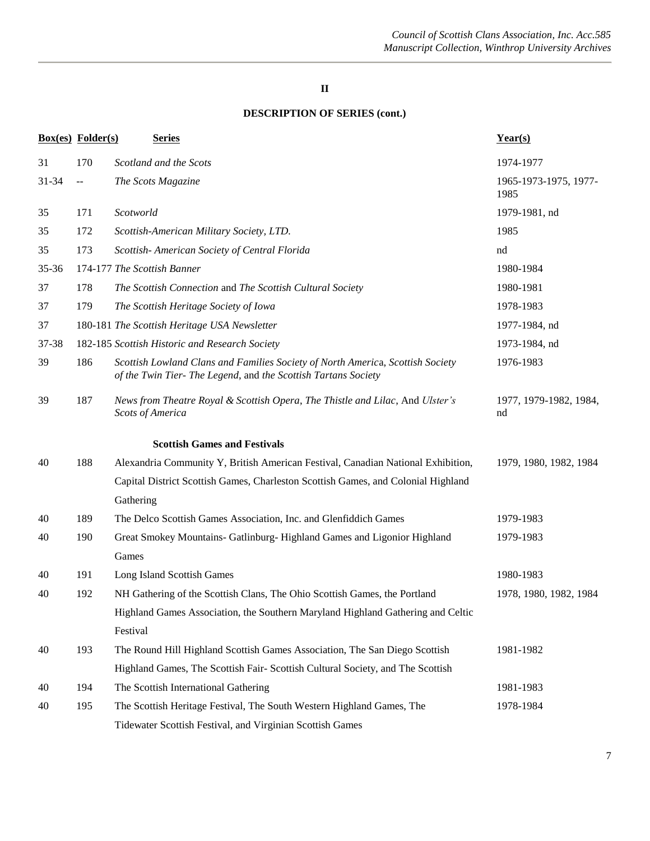|           | <b>Box(es)</b> Folder(s) | <b>Series</b>                                                                                                                                   | Year(s)                       |
|-----------|--------------------------|-------------------------------------------------------------------------------------------------------------------------------------------------|-------------------------------|
| 31        | 170                      | Scotland and the Scots                                                                                                                          | 1974-1977                     |
| 31-34     | $-$                      | The Scots Magazine                                                                                                                              | 1965-1973-1975, 1977-<br>1985 |
| 35        | 171                      | Scotworld                                                                                                                                       | 1979-1981, nd                 |
| 35        | 172                      | Scottish-American Military Society, LTD.                                                                                                        | 1985                          |
| 35        | 173                      | Scottish- American Society of Central Florida                                                                                                   | nd                            |
| $35 - 36$ |                          | 174-177 The Scottish Banner                                                                                                                     | 1980-1984                     |
| 37        | 178                      | The Scottish Connection and The Scottish Cultural Society                                                                                       | 1980-1981                     |
| 37        | 179                      | The Scottish Heritage Society of Iowa                                                                                                           | 1978-1983                     |
| 37        |                          | 180-181 The Scottish Heritage USA Newsletter                                                                                                    | 1977-1984, nd                 |
| 37-38     |                          | 182-185 Scottish Historic and Research Society                                                                                                  | 1973-1984, nd                 |
| 39        | 186                      | Scottish Lowland Clans and Families Society of North America, Scottish Society<br>of the Twin Tier-The Legend, and the Scottish Tartans Society | 1976-1983                     |
| 39        | 187                      | News from Theatre Royal & Scottish Opera, The Thistle and Lilac, And Ulster's<br><b>Scots of America</b>                                        | 1977, 1979-1982, 1984,<br>nd  |
|           |                          | <b>Scottish Games and Festivals</b>                                                                                                             |                               |
| 40        | 188                      | Alexandria Community Y, British American Festival, Canadian National Exhibition,                                                                | 1979, 1980, 1982, 1984        |
|           |                          | Capital District Scottish Games, Charleston Scottish Games, and Colonial Highland                                                               |                               |
|           |                          | Gathering                                                                                                                                       |                               |
| 40        | 189                      | The Delco Scottish Games Association, Inc. and Glenfiddich Games                                                                                | 1979-1983                     |
| 40        | 190                      | Great Smokey Mountains- Gatlinburg- Highland Games and Ligonior Highland                                                                        | 1979-1983                     |
|           |                          | Games                                                                                                                                           |                               |
| 40        | 191                      | Long Island Scottish Games                                                                                                                      | 1980-1983                     |
| 40        | 192                      | NH Gathering of the Scottish Clans, The Ohio Scottish Games, the Portland                                                                       | 1978, 1980, 1982, 1984        |
|           |                          | Highland Games Association, the Southern Maryland Highland Gathering and Celtic                                                                 |                               |
|           |                          | Festival                                                                                                                                        |                               |
| 40        | 193                      | The Round Hill Highland Scottish Games Association, The San Diego Scottish                                                                      | 1981-1982                     |
|           |                          | Highland Games, The Scottish Fair-Scottish Cultural Society, and The Scottish                                                                   |                               |
| 40        | 194                      | The Scottish International Gathering                                                                                                            | 1981-1983                     |
| 40        | 195                      | The Scottish Heritage Festival, The South Western Highland Games, The                                                                           | 1978-1984                     |
|           |                          | Tidewater Scottish Festival, and Virginian Scottish Games                                                                                       |                               |